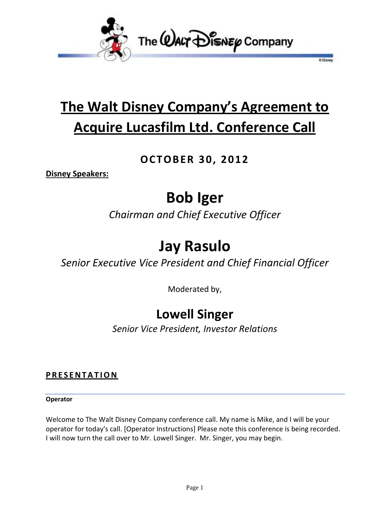

# **The Walt Disney Company's Agreement to Acquire Lucasfilm Ltd. Conference Call**

**D** Disnet

## **OCTOBER 30, 2012**

**Disney Speakers:**

# **Bob Iger**

*Chairman and Chief Executive Officer*

## **Jay Rasulo**

*Senior Executive Vice President and Chief Financial Officer*

Moderated by,

## **Lowell Singer**

*Senior Vice President, Investor Relations*

### **P R E S E N T A T I O N**

#### **Operator**

Welcome to The Walt Disney Company conference call. My name is Mike, and I will be your operator for today's call. [Operator Instructions] Please note this conference is being recorded. I will now turn the call over to Mr. Lowell Singer. Mr. Singer, you may begin.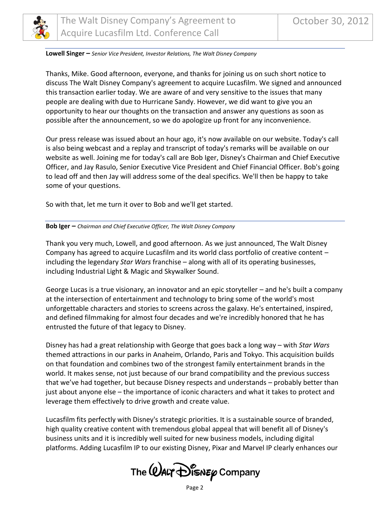

#### **Lowell Singer –** *Senior Vice President, Investor Relations, The Walt Disney Company*

Thanks, Mike. Good afternoon, everyone, and thanks for joining us on such short notice to discuss The Walt Disney Company's agreement to acquire Lucasfilm. We signed and announced this transaction earlier today. We are aware of and very sensitive to the issues that many people are dealing with due to Hurricane Sandy. However, we did want to give you an opportunity to hear our thoughts on the transaction and answer any questions as soon as possible after the announcement, so we do apologize up front for any inconvenience.

Our press release was issued about an hour ago, it's now available on our website. Today's call is also being webcast and a replay and transcript of today's remarks will be available on our website as well. Joining me for today's call are Bob Iger, Disney's Chairman and Chief Executive Officer, and Jay Rasulo, Senior Executive Vice President and Chief Financial Officer. Bob's going to lead off and then Jay will address some of the deal specifics. We'll then be happy to take some of your questions.

So with that, let me turn it over to Bob and we'll get started.

#### **Bob Iger –** *Chairman and Chief Executive Officer, The Walt Disney Company*

Thank you very much, Lowell, and good afternoon. As we just announced, The Walt Disney Company has agreed to acquire Lucasfilm and its world class portfolio of creative content – including the legendary *Star Wars* franchise – along with all of its operating businesses, including Industrial Light & Magic and Skywalker Sound.

George Lucas is a true visionary, an innovator and an epic storyteller – and he's built a company at the intersection of entertainment and technology to bring some of the world's most unforgettable characters and stories to screens across the galaxy. He's entertained, inspired, and defined filmmaking for almost four decades and we're incredibly honored that he has entrusted the future of that legacy to Disney.

Disney has had a great relationship with George that goes back a long way – with *Star Wars* themed attractions in our parks in Anaheim, Orlando, Paris and Tokyo. This acquisition builds on that foundation and combines two of the strongest family entertainment brands in the world. It makes sense, not just because of our brand compatibility and the previous success that we've had together, but because Disney respects and understands – probably better than just about anyone else – the importance of iconic characters and what it takes to protect and leverage them effectively to drive growth and create value.

Lucasfilm fits perfectly with Disney's strategic priorities. It is a sustainable source of branded, high quality creative content with tremendous global appeal that will benefit all of Disney's business units and it is incredibly well suited for new business models, including digital platforms. Adding Lucasfilm IP to our existing Disney, Pixar and Marvel IP clearly enhances our

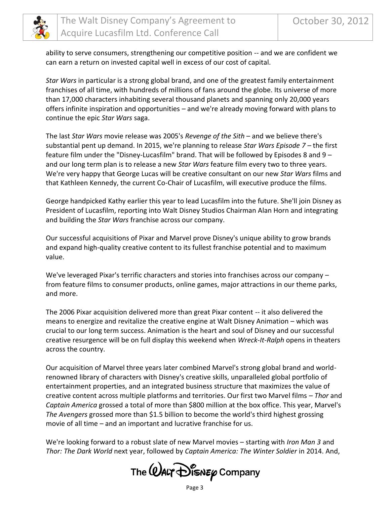

ability to serve consumers, strengthening our competitive position -- and we are confident we can earn a return on invested capital well in excess of our cost of capital.

*Star Wars* in particular is a strong global brand, and one of the greatest family entertainment franchises of all time, with hundreds of millions of fans around the globe. Its universe of more than 17,000 characters inhabiting several thousand planets and spanning only 20,000 years offers infinite inspiration and opportunities – and we're already moving forward with plans to continue the epic *Star Wars* saga.

The last *Star Wars* movie release was 2005's *Revenge of the Sith* – and we believe there's substantial pent up demand. In 2015, we're planning to release *Star Wars Episode 7 –* the first feature film under the "Disney-Lucasfilm" brand. That will be followed by Episodes 8 and 9 – and our long term plan is to release a new *Star Wars* feature film every two to three years. We're very happy that George Lucas will be creative consultant on our new *Star Wars* films and that Kathleen Kennedy, the current Co-Chair of Lucasfilm, will executive produce the films.

George handpicked Kathy earlier this year to lead Lucasfilm into the future. She'll join Disney as President of Lucasfilm, reporting into Walt Disney Studios Chairman Alan Horn and integrating and building the *Star Wars* franchise across our company.

Our successful acquisitions of Pixar and Marvel prove Disney's unique ability to grow brands and expand high-quality creative content to its fullest franchise potential and to maximum value.

We've leveraged Pixar's terrific characters and stories into franchises across our company – from feature films to consumer products, online games, major attractions in our theme parks, and more.

The 2006 Pixar acquisition delivered more than great Pixar content -- it also delivered the means to energize and revitalize the creative engine at Walt Disney Animation – which was crucial to our long term success. Animation is the heart and soul of Disney and our successful creative resurgence will be on full display this weekend when *Wreck-It-Ralph* opens in theaters across the country.

Our acquisition of Marvel three years later combined Marvel's strong global brand and worldrenowned library of characters with Disney's creative skills, unparalleled global portfolio of entertainment properties, and an integrated business structure that maximizes the value of creative content across multiple platforms and territories. Our first two Marvel films – *Thor* and *Captain America* grossed a total of more than \$800 million at the box office. This year, Marvel's *The Avengers* grossed more than \$1.5 billion to become the world's third highest grossing movie of all time – and an important and lucrative franchise for us.

We're looking forward to a robust slate of new Marvel movies – starting with *Iron Man 3* and *Thor: The Dark World* next year, followed by *Captain America: The Winter Soldier* in 2014. And,

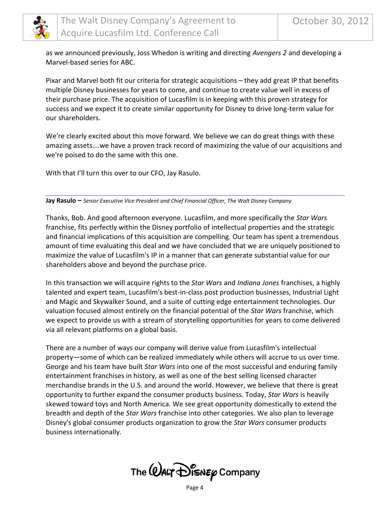

as we announced previously, Joss Whedon is writing and directing *Avengers 2* and developing a Marvel-based series for ABC.

Pixar and Marvel both fit our criteria for strategic acquisitions – they add great IP that benefits multiple Disney businesses for years to come, and continue to create value well in excess of their purchase price. The acquisition of Lucasfilm is in keeping with this proven strategy for success and we expect it to create similar opportunity for Disney to drive long-term value for our shareholders.

We're clearly excited about this move forward. We believe we can do great things with these amazing assets….we have a proven track record of maximizing the value of our acquisitions and we're poised to do the same with this one.

With that I'll turn this over to our CFO, Jay Rasulo.

**Jay Rasulo –** *Senior Executive Vice President and Chief Financial Officer, The Walt Disney Company*

Thanks, Bob. And good afternoon everyone. Lucasfilm, and more specifically the *Star Wars* franchise, fits perfectly within the Disney portfolio of intellectual properties and the strategic and financial implications of this acquisition are compelling. Our team has spent a tremendous amount of time evaluating this deal and we have concluded that we are uniquely positioned to maximize the value of Lucasfilm's IP in a manner that can generate substantial value for our shareholders above and beyond the purchase price.

In this transaction we will acquire rights to the *Star Wars* and *Indiana Jones* franchises, a highly talented and expert team, Lucasfilm's best-in-class post production businesses, Industrial Light and Magic and Skywalker Sound, and a suite of cutting edge entertainment technologies. Our valuation focused almost entirely on the financial potential of the *Star Wars* franchise, which we expect to provide us with a stream of storytelling opportunities for years to come delivered via all relevant platforms on a global basis.

There are a number of ways our company will derive value from Lucasfilm's intellectual property—some of which can be realized immediately while others will accrue to us over time. George and his team have built *Star Wars* into one of the most successful and enduring family entertainment franchises in history, as well as one of the best selling licensed character merchandise brands in the U.S. and around the world. However, we believe that there is great opportunity to further expand the consumer products business. Today, *Star Wars* is heavily skewed toward toys and North America. We see great opportunity domestically to extend the breadth and depth of the *Star Wars* franchise into other categories. We also plan to leverage Disney's global consumer products organization to grow the *Star Wars* consumer products business internationally.

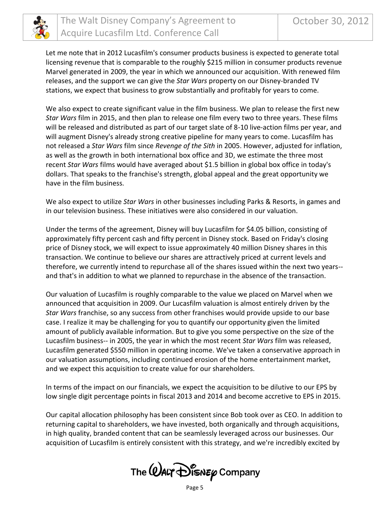

Let me note that in 2012 Lucasfilm's consumer products business is expected to generate total licensing revenue that is comparable to the roughly \$215 million in consumer products revenue Marvel generated in 2009, the year in which we announced our acquisition. With renewed film releases, and the support we can give the *Star Wars* property on our Disney-branded TV stations, we expect that business to grow substantially and profitably for years to come.

We also expect to create significant value in the film business. We plan to release the first new *Star Wars* film in 2015, and then plan to release one film every two to three years. These films will be released and distributed as part of our target slate of 8-10 live-action films per year, and will augment Disney's already strong creative pipeline for many years to come. Lucasfilm has not released a *Star Wars* film since *Revenge of the Sith* in 2005. However, adjusted for inflation, as well as the growth in both international box office and 3D, we estimate the three most recent *Star Wars* films would have averaged about \$1.5 billion in global box office in today's dollars. That speaks to the franchise's strength, global appeal and the great opportunity we have in the film business.

We also expect to utilize *Star Wars* in other businesses including Parks & Resorts, in games and in our television business. These initiatives were also considered in our valuation.

Under the terms of the agreement, Disney will buy Lucasfilm for \$4.05 billion, consisting of approximately fifty percent cash and fifty percent in Disney stock. Based on Friday's closing price of Disney stock, we will expect to issue approximately 40 million Disney shares in this transaction. We continue to believe our shares are attractively priced at current levels and therefore, we currently intend to repurchase all of the shares issued within the next two years- and that's in addition to what we planned to repurchase in the absence of the transaction.

Our valuation of Lucasfilm is roughly comparable to the value we placed on Marvel when we announced that acquisition in 2009. Our Lucasfilm valuation is almost entirely driven by the *Star Wars* franchise, so any success from other franchises would provide upside to our base case. I realize it may be challenging for you to quantify our opportunity given the limited amount of publicly available information. But to give you some perspective on the size of the Lucasfilm business-- in 2005, the year in which the most recent *Star Wars* film was released, Lucasfilm generated \$550 million in operating income. We've taken a conservative approach in our valuation assumptions, including continued erosion of the home entertainment market, and we expect this acquisition to create value for our shareholders.

In terms of the impact on our financials, we expect the acquisition to be dilutive to our EPS by low single digit percentage points in fiscal 2013 and 2014 and become accretive to EPS in 2015.

Our capital allocation philosophy has been consistent since Bob took over as CEO. In addition to returning capital to shareholders, we have invested, both organically and through acquisitions, in high quality, branded content that can be seamlessly leveraged across our businesses. Our acquisition of Lucasfilm is entirely consistent with this strategy, and we're incredibly excited by

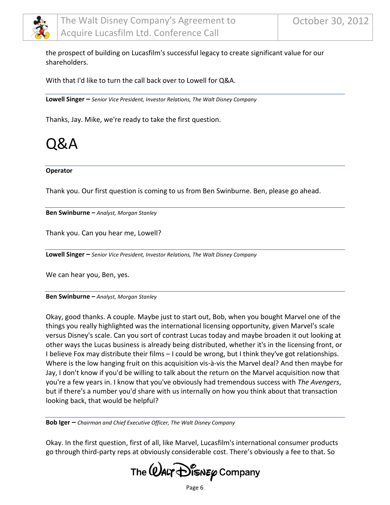

the prospect of building on Lucasfilm's successful legacy to create significant value for our shareholders.

With that I'd like to turn the call back over to Lowell for Q&A.

**Lowell Singer –** *Senior Vice President, Investor Relations, The Walt Disney Company*

Thanks, Jay. Mike, we're ready to take the first question.

## Q&A

#### **Operator**

Thank you. Our first question is coming to us from Ben Swinburne. Ben, please go ahead.

**Ben Swinburne –** *Analyst, Morgan Stanley*

Thank you. Can you hear me, Lowell?

**Lowell Singer –** *Senior Vice President, Investor Relations, The Walt Disney Company*

We can hear you, Ben, yes.

**Ben Swinburne –** *Analyst, Morgan Stanley*

Okay, good thanks. A couple. Maybe just to start out, Bob, when you bought Marvel one of the things you really highlighted was the international licensing opportunity, given Marvel's scale versus Disney's scale. Can you sort of contrast Lucas today and maybe broaden it out looking at other ways the Lucas business is already being distributed, whether it's in the licensing front, or I believe Fox may distribute their films – I could be wrong, but I think they've got relationships. Where is the low hanging fruit on this acquisition vis-à-vis the Marvel deal? And then maybe for Jay, I don't know if you'd be willing to talk about the return on the Marvel acquisition now that you're a few years in. I know that you've obviously had tremendous success with *The Avengers*, but if there's a number you'd share with us internally on how you think about that transaction looking back, that would be helpful?

**Bob Iger –** *Chairman and Chief Executive Officer, The Walt Disney Company*

Okay. In the first question, first of all, like Marvel, Lucasfilm's international consumer products go through third-party reps at obviously considerable cost. There's obviously a fee to that. So

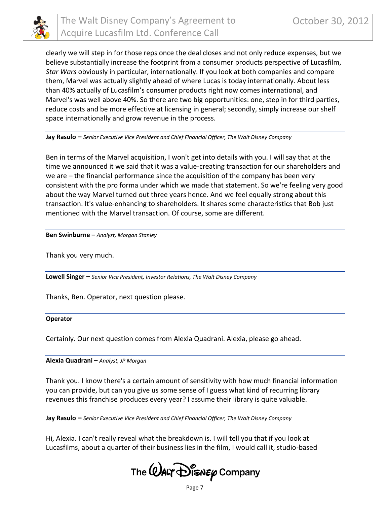

clearly we will step in for those reps once the deal closes and not only reduce expenses, but we believe substantially increase the footprint from a consumer products perspective of Lucasfilm, *Star Wars* obviously in particular, internationally. If you look at both companies and compare them, Marvel was actually slightly ahead of where Lucas is today internationally. About less than 40% actually of Lucasfilm's consumer products right now comes international, and Marvel's was well above 40%. So there are two big opportunities: one, step in for third parties, reduce costs and be more effective at licensing in general; secondly, simply increase our shelf space internationally and grow revenue in the process.

#### **Jay Rasulo –** *Senior Executive Vice President and Chief Financial Officer, The Walt Disney Company*

Ben in terms of the Marvel acquisition, I won't get into details with you. I will say that at the time we announced it we said that it was a value-creating transaction for our shareholders and we are – the financial performance since the acquisition of the company has been very consistent with the pro forma under which we made that statement. So we're feeling very good about the way Marvel turned out three years hence. And we feel equally strong about this transaction. It's value-enhancing to shareholders. It shares some characteristics that Bob just mentioned with the Marvel transaction. Of course, some are different.

**Ben Swinburne –** *Analyst, Morgan Stanley*

Thank you very much.

**Lowell Singer –** *Senior Vice President, Investor Relations, The Walt Disney Company*

Thanks, Ben. Operator, next question please.

#### **Operator**

Certainly. Our next question comes from Alexia Quadrani. Alexia, please go ahead.

**Alexia Quadrani –** *Analyst, JP Morgan*

Thank you. I know there's a certain amount of sensitivity with how much financial information you can provide, but can you give us some sense of I guess what kind of recurring library revenues this franchise produces every year? I assume their library is quite valuable.

**Jay Rasulo –** *Senior Executive Vice President and Chief Financial Officer, The Walt Disney Company*

Hi, Alexia. I can't really reveal what the breakdown is. I will tell you that if you look at Lucasfilms, about a quarter of their business lies in the film, I would call it, studio-based

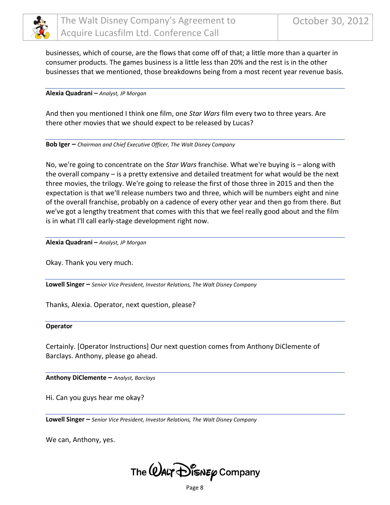

businesses, which of course, are the flows that come off of that; a little more than a quarter in consumer products. The games business is a little less than 20% and the rest is in the other businesses that we mentioned, those breakdowns being from a most recent year revenue basis.

**Alexia Quadrani –** *Analyst, JP Morgan*

And then you mentioned I think one film, one *Star Wars* film every two to three years. Are there other movies that we should expect to be released by Lucas?

**Bob Iger –** *Chairman and Chief Executive Officer, The Walt Disney Company*

No, we're going to concentrate on the *Star Wars* franchise. What we're buying is – along with the overall company – is a pretty extensive and detailed treatment for what would be the next three movies, the trilogy. We're going to release the first of those three in 2015 and then the expectation is that we'll release numbers two and three, which will be numbers eight and nine of the overall franchise, probably on a cadence of every other year and then go from there. But we've got a lengthy treatment that comes with this that we feel really good about and the film is in what I'll call early-stage development right now.

**Alexia Quadrani –** *Analyst, JP Morgan*

Okay. Thank you very much.

**Lowell Singer –** *Senior Vice President, Investor Relations, The Walt Disney Company*

Thanks, Alexia. Operator, next question, please?

#### **Operator**

Certainly. [Operator Instructions] Our next question comes from Anthony DiClemente of Barclays. Anthony, please go ahead.

**Anthony DiClemente –** *Analyst, Barclays*

Hi. Can you guys hear me okay?

**Lowell Singer –** *Senior Vice President, Investor Relations, The Walt Disney Company*

We can, Anthony, yes.

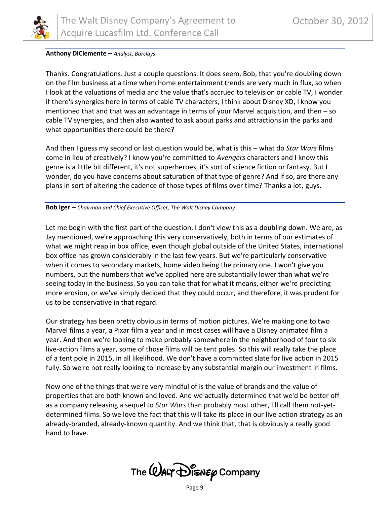

#### **Anthony DiClemente –** *Analyst, Barclays*

Thanks. Congratulations. Just a couple questions. It does seem, Bob, that you're doubling down on the film business at a time when home entertainment trends are very much in flux, so when I look at the valuations of media and the value that's accrued to television or cable TV, I wonder if there's synergies here in terms of cable TV characters, I think about Disney XD, I know you mentioned that and that was an advantage in terms of your Marvel acquisition, and then – so cable TV synergies, and then also wanted to ask about parks and attractions in the parks and what opportunities there could be there?

And then I guess my second or last question would be, what is this – what do *Star Wars* films come in lieu of creatively? I know you're committed to *Avengers* characters and I know this genre is a little bit different, it's not superheroes, it's sort of science fiction or fantasy. But I wonder, do you have concerns about saturation of that type of genre? And if so, are there any plans in sort of altering the cadence of those types of films over time? Thanks a lot, guys.

#### **Bob Iger –** *Chairman and Chief Executive Officer, The Walt Disney Company*

Let me begin with the first part of the question. I don't view this as a doubling down. We are, as Jay mentioned, we're approaching this very conservatively, both in terms of our estimates of what we might reap in box office, even though global outside of the United States, international box office has grown considerably in the last few years. But we're particularly conservative when it comes to secondary markets, home video being the primary one. I won't give you numbers, but the numbers that we've applied here are substantially lower than what we're seeing today in the business. So you can take that for what it means, either we're predicting more erosion, or we've simply decided that they could occur, and therefore, it was prudent for us to be conservative in that regard.

Our strategy has been pretty obvious in terms of motion pictures. We're making one to two Marvel films a year, a Pixar film a year and in most cases will have a Disney animated film a year. And then we're looking to make probably somewhere in the neighborhood of four to six live-action films a year, some of those films will be tent poles. So this will really take the place of a tent pole in 2015, in all likelihood. We don't have a committed slate for live action in 2015 fully. So we're not really looking to increase by any substantial margin our investment in films.

Now one of the things that we're very mindful of is the value of brands and the value of properties that are both known and loved. And we actually determined that we'd be better off as a company releasing a sequel to *Star Wars* than probably most other, I'll call them not-yetdetermined films. So we love the fact that this will take its place in our live action strategy as an already-branded, already-known quantity. And we think that, that is obviously a really good hand to have.

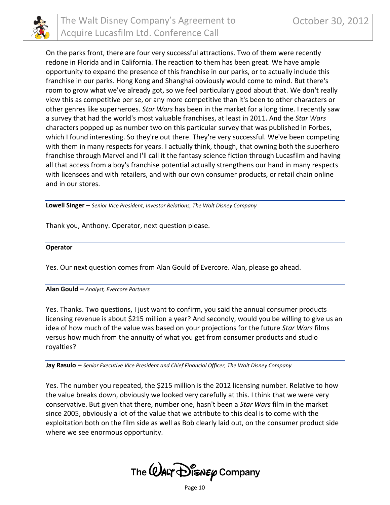

On the parks front, there are four very successful attractions. Two of them were recently redone in Florida and in California. The reaction to them has been great. We have ample opportunity to expand the presence of this franchise in our parks, or to actually include this franchise in our parks. Hong Kong and Shanghai obviously would come to mind. But there's room to grow what we've already got, so we feel particularly good about that. We don't really view this as competitive per se, or any more competitive than it's been to other characters or other genres like superheroes. *Star Wars* has been in the market for a long time. I recently saw a survey that had the world's most valuable franchises, at least in 2011. And the *Star Wars*  characters popped up as number two on this particular survey that was published in Forbes, which I found interesting. So they're out there. They're very successful. We've been competing with them in many respects for years. I actually think, though, that owning both the superhero franchise through Marvel and I'll call it the fantasy science fiction through Lucasfilm and having all that access from a boy's franchise potential actually strengthens our hand in many respects with licensees and with retailers, and with our own consumer products, or retail chain online and in our stores.

**Lowell Singer –** *Senior Vice President, Investor Relations, The Walt Disney Company*

Thank you, Anthony. Operator, next question please.

#### **Operator**

Yes. Our next question comes from Alan Gould of Evercore. Alan, please go ahead.

#### **Alan Gould –** *Analyst, Evercore Partners*

Yes. Thanks. Two questions, I just want to confirm, you said the annual consumer products licensing revenue is about \$215 million a year? And secondly, would you be willing to give us an idea of how much of the value was based on your projections for the future *Star Wars* films versus how much from the annuity of what you get from consumer products and studio royalties?

**Jay Rasulo –** *Senior Executive Vice President and Chief Financial Officer, The Walt Disney Company*

Yes. The number you repeated, the \$215 million is the 2012 licensing number. Relative to how the value breaks down, obviously we looked very carefully at this. I think that we were very conservative. But given that there, number one, hasn't been a *Star Wars* film in the market since 2005, obviously a lot of the value that we attribute to this deal is to come with the exploitation both on the film side as well as Bob clearly laid out, on the consumer product side where we see enormous opportunity.

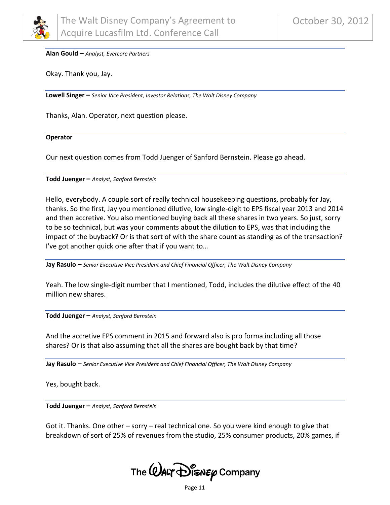

#### **Alan Gould –** *Analyst, Evercore Partners*

Okay. Thank you, Jay.

**Lowell Singer –** *Senior Vice President, Investor Relations, The Walt Disney Company*

Thanks, Alan. Operator, next question please.

#### **Operator**

Our next question comes from Todd Juenger of Sanford Bernstein. Please go ahead.

**Todd Juenger –** *Analyst, Sanford Bernstein*

Hello, everybody. A couple sort of really technical housekeeping questions, probably for Jay, thanks. So the first, Jay you mentioned dilutive, low single-digit to EPS fiscal year 2013 and 2014 and then accretive. You also mentioned buying back all these shares in two years. So just, sorry to be so technical, but was your comments about the dilution to EPS, was that including the impact of the buyback? Or is that sort of with the share count as standing as of the transaction? I've got another quick one after that if you want to…

**Jay Rasulo –** *Senior Executive Vice President and Chief Financial Officer, The Walt Disney Company*

Yeah. The low single-digit number that I mentioned, Todd, includes the dilutive effect of the 40 million new shares.

**Todd Juenger –** *Analyst, Sanford Bernstein*

And the accretive EPS comment in 2015 and forward also is pro forma including all those shares? Or is that also assuming that all the shares are bought back by that time?

**Jay Rasulo –** *Senior Executive Vice President and Chief Financial Officer, The Walt Disney Company*

Yes, bought back.

**Todd Juenger –** *Analyst, Sanford Bernstein*

Got it. Thanks. One other – sorry – real technical one. So you were kind enough to give that breakdown of sort of 25% of revenues from the studio, 25% consumer products, 20% games, if



Page 11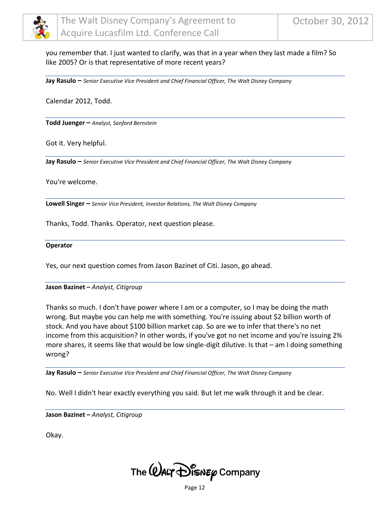

you remember that. I just wanted to clarify, was that in a year when they last made a film? So like 2005? Or is that representative of more recent years?

**Jay Rasulo –** *Senior Executive Vice President and Chief Financial Officer, The Walt Disney Company*

Calendar 2012, Todd.

**Todd Juenger –** *Analyst, Sanford Bernstein*

Got it. Very helpful.

**Jay Rasulo –** *Senior Executive Vice President and Chief Financial Officer, The Walt Disney Company*

You're welcome.

**Lowell Singer –** *Senior Vice President, Investor Relations, The Walt Disney Company*

Thanks, Todd. Thanks. Operator, next question please.

#### **Operator**

Yes, our next question comes from Jason Bazinet of Citi. Jason, go ahead.

#### **Jason Bazinet –** *Analyst, Citigroup*

Thanks so much. I don't have power where I am or a computer, so I may be doing the math wrong. But maybe you can help me with something. You're issuing about \$2 billion worth of stock. And you have about \$100 billion market cap. So are we to infer that there's no net income from this acquisition? In other words, if you've got no net income and you're issuing 2% more shares, it seems like that would be low single-digit dilutive. Is that – am I doing something wrong?

**Jay Rasulo –** *Senior Executive Vice President and Chief Financial Officer, The Walt Disney Company*

No. Well I didn't hear exactly everything you said. But let me walk through it and be clear.

**Jason Bazinet –** *Analyst, Citigroup*

Okay.

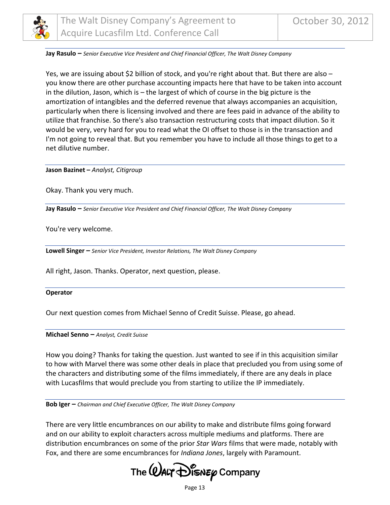

#### **Jay Rasulo –** *Senior Executive Vice President and Chief Financial Officer, The Walt Disney Company*

Yes, we are issuing about \$2 billion of stock, and you're right about that. But there are also – you know there are other purchase accounting impacts here that have to be taken into account in the dilution, Jason, which is – the largest of which of course in the big picture is the amortization of intangibles and the deferred revenue that always accompanies an acquisition, particularly when there is licensing involved and there are fees paid in advance of the ability to utilize that franchise. So there's also transaction restructuring costs that impact dilution. So it would be very, very hard for you to read what the OI offset to those is in the transaction and I'm not going to reveal that. But you remember you have to include all those things to get to a net dilutive number.

**Jason Bazinet –** *Analyst, Citigroup*

Okay. Thank you very much.

**Jay Rasulo –** *Senior Executive Vice President and Chief Financial Officer, The Walt Disney Company*

You're very welcome.

**Lowell Singer –** *Senior Vice President, Investor Relations, The Walt Disney Company*

All right, Jason. Thanks. Operator, next question, please.

#### **Operator**

Our next question comes from Michael Senno of Credit Suisse. Please, go ahead.

**Michael Senno –** *Analyst, Credit Suisse*

How you doing? Thanks for taking the question. Just wanted to see if in this acquisition similar to how with Marvel there was some other deals in place that precluded you from using some of the characters and distributing some of the films immediately, if there are any deals in place with Lucasfilms that would preclude you from starting to utilize the IP immediately.

**Bob Iger –** *Chairman and Chief Executive Officer, The Walt Disney Company*

There are very little encumbrances on our ability to make and distribute films going forward and on our ability to exploit characters across multiple mediums and platforms. There are distribution encumbrances on some of the prior *Star Wars* films that were made, notably with Fox, and there are some encumbrances for *Indiana Jones*, largely with Paramount.

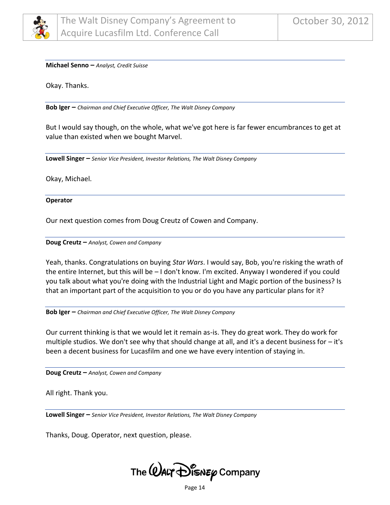

#### **Michael Senno –** *Analyst, Credit Suisse*

Okay. Thanks.

**Bob Iger –** *Chairman and Chief Executive Officer, The Walt Disney Company*

But I would say though, on the whole, what we've got here is far fewer encumbrances to get at value than existed when we bought Marvel.

**Lowell Singer –** *Senior Vice President, Investor Relations, The Walt Disney Company*

Okay, Michael.

#### **Operator**

Our next question comes from Doug Creutz of Cowen and Company.

#### **Doug Creutz –** *Analyst, Cowen and Company*

Yeah, thanks. Congratulations on buying *Star Wars*. I would say, Bob, you're risking the wrath of the entire Internet, but this will be – I don't know. I'm excited. Anyway I wondered if you could you talk about what you're doing with the Industrial Light and Magic portion of the business? Is that an important part of the acquisition to you or do you have any particular plans for it?

**Bob Iger –** *Chairman and Chief Executive Officer, The Walt Disney Company*

Our current thinking is that we would let it remain as-is. They do great work. They do work for multiple studios. We don't see why that should change at all, and it's a decent business for – it's been a decent business for Lucasfilm and one we have every intention of staying in.

**Doug Creutz –** *Analyst, Cowen and Company*

All right. Thank you.

**Lowell Singer –** *Senior Vice President, Investor Relations, The Walt Disney Company*

Thanks, Doug. Operator, next question, please.



Page 14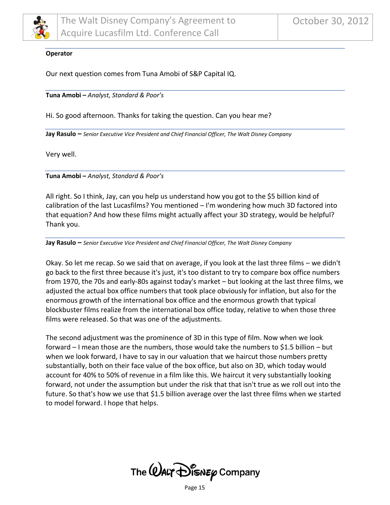

#### **Operator**

Our next question comes from Tuna Amobi of S&P Capital IQ.

**Tuna Amobi –** *Analyst, Standard & Poor's*

Hi. So good afternoon. Thanks for taking the question. Can you hear me?

**Jay Rasulo –** *Senior Executive Vice President and Chief Financial Officer, The Walt Disney Company*

Very well.

**Tuna Amobi –** *Analyst, Standard & Poor's*

All right. So I think, Jay, can you help us understand how you got to the \$5 billion kind of calibration of the last Lucasfilms? You mentioned – I'm wondering how much 3D factored into that equation? And how these films might actually affect your 3D strategy, would be helpful? Thank you.

**Jay Rasulo –** *Senior Executive Vice President and Chief Financial Officer, The Walt Disney Company*

Okay. So let me recap. So we said that on average, if you look at the last three films – we didn't go back to the first three because it's just, it's too distant to try to compare box office numbers from 1970, the 70s and early-80s against today's market – but looking at the last three films, we adjusted the actual box office numbers that took place obviously for inflation, but also for the enormous growth of the international box office and the enormous growth that typical blockbuster films realize from the international box office today, relative to when those three films were released. So that was one of the adjustments.

The second adjustment was the prominence of 3D in this type of film. Now when we look forward – I mean those are the numbers, those would take the numbers to \$1.5 billion – but when we look forward, I have to say in our valuation that we haircut those numbers pretty substantially, both on their face value of the box office, but also on 3D, which today would account for 40% to 50% of revenue in a film like this. We haircut it very substantially looking forward, not under the assumption but under the risk that that isn't true as we roll out into the future. So that's how we use that \$1.5 billion average over the last three films when we started to model forward. I hope that helps.

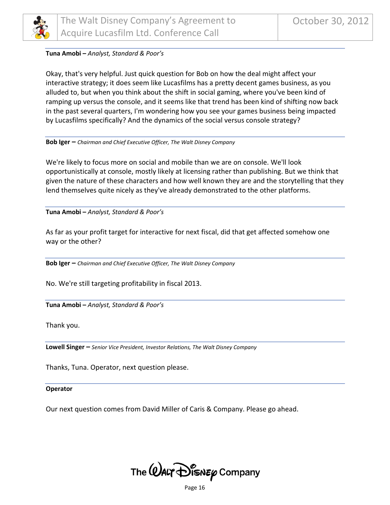

#### **Tuna Amobi –** *Analyst, Standard & Poor's*

Okay, that's very helpful. Just quick question for Bob on how the deal might affect your interactive strategy; it does seem like Lucasfilms has a pretty decent games business, as you alluded to, but when you think about the shift in social gaming, where you've been kind of ramping up versus the console, and it seems like that trend has been kind of shifting now back in the past several quarters, I'm wondering how you see your games business being impacted by Lucasfilms specifically? And the dynamics of the social versus console strategy?

#### **Bob Iger –** *Chairman and Chief Executive Officer, The Walt Disney Company*

We're likely to focus more on social and mobile than we are on console. We'll look opportunistically at console, mostly likely at licensing rather than publishing. But we think that given the nature of these characters and how well known they are and the storytelling that they lend themselves quite nicely as they've already demonstrated to the other platforms.

**Tuna Amobi –** *Analyst, Standard & Poor's*

As far as your profit target for interactive for next fiscal, did that get affected somehow one way or the other?

**Bob Iger –** *Chairman and Chief Executive Officer, The Walt Disney Company*

No. We're still targeting profitability in fiscal 2013.

**Tuna Amobi –** *Analyst, Standard & Poor's*

Thank you.

**Lowell Singer –** *Senior Vice President, Investor Relations, The Walt Disney Company*

Thanks, Tuna. Operator, next question please.

#### **Operator**

Our next question comes from David Miller of Caris & Company. Please go ahead.

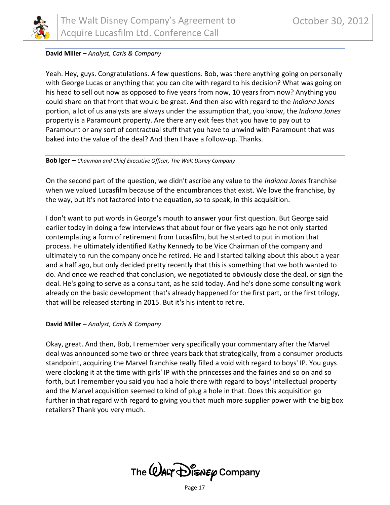

#### **David Miller –** *Analyst, Caris & Company*

Yeah. Hey, guys. Congratulations. A few questions. Bob, was there anything going on personally with George Lucas or anything that you can cite with regard to his decision? What was going on his head to sell out now as opposed to five years from now, 10 years from now? Anything you could share on that front that would be great. And then also with regard to the *Indiana Jones*  portion, a lot of us analysts are always under the assumption that, you know, the *Indiana Jones*  property is a Paramount property. Are there any exit fees that you have to pay out to Paramount or any sort of contractual stuff that you have to unwind with Paramount that was baked into the value of the deal? And then I have a follow-up. Thanks.

#### **Bob Iger –** *Chairman and Chief Executive Officer, The Walt Disney Company*

On the second part of the question, we didn't ascribe any value to the *Indiana Jones* franchise when we valued Lucasfilm because of the encumbrances that exist. We love the franchise, by the way, but it's not factored into the equation, so to speak, in this acquisition.

I don't want to put words in George's mouth to answer your first question. But George said earlier today in doing a few interviews that about four or five years ago he not only started contemplating a form of retirement from Lucasfilm, but he started to put in motion that process. He ultimately identified Kathy Kennedy to be Vice Chairman of the company and ultimately to run the company once he retired. He and I started talking about this about a year and a half ago, but only decided pretty recently that this is something that we both wanted to do. And once we reached that conclusion, we negotiated to obviously close the deal, or sign the deal. He's going to serve as a consultant, as he said today. And he's done some consulting work already on the basic development that's already happened for the first part, or the first trilogy, that will be released starting in 2015. But it's his intent to retire.

#### **David Miller –** *Analyst, Caris & Company*

Okay, great. And then, Bob, I remember very specifically your commentary after the Marvel deal was announced some two or three years back that strategically, from a consumer products standpoint, acquiring the Marvel franchise really filled a void with regard to boys' IP. You guys were clocking it at the time with girls' IP with the princesses and the fairies and so on and so forth, but I remember you said you had a hole there with regard to boys' intellectual property and the Marvel acquisition seemed to kind of plug a hole in that. Does this acquisition go further in that regard with regard to giving you that much more supplier power with the big box retailers? Thank you very much.

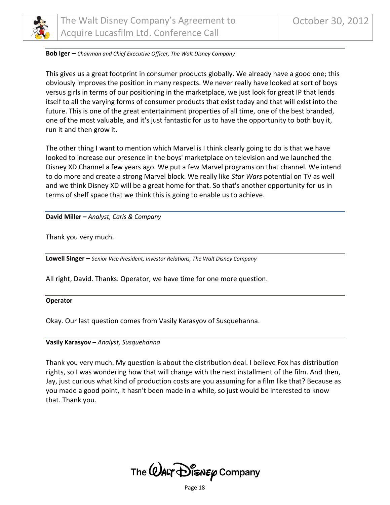

#### **Bob Iger –** *Chairman and Chief Executive Officer, The Walt Disney Company*

This gives us a great footprint in consumer products globally. We already have a good one; this obviously improves the position in many respects. We never really have looked at sort of boys versus girls in terms of our positioning in the marketplace, we just look for great IP that lends itself to all the varying forms of consumer products that exist today and that will exist into the future. This is one of the great entertainment properties of all time, one of the best branded, one of the most valuable, and it's just fantastic for us to have the opportunity to both buy it, run it and then grow it.

The other thing I want to mention which Marvel is I think clearly going to do is that we have looked to increase our presence in the boys' marketplace on television and we launched the Disney XD Channel a few years ago. We put a few Marvel programs on that channel. We intend to do more and create a strong Marvel block. We really like *Star Wars* potential on TV as well and we think Disney XD will be a great home for that. So that's another opportunity for us in terms of shelf space that we think this is going to enable us to achieve.

#### **David Miller –** *Analyst, Caris & Company*

Thank you very much.

**Lowell Singer –** *Senior Vice President, Investor Relations, The Walt Disney Company*

All right, David. Thanks. Operator, we have time for one more question.

#### **Operator**

Okay. Our last question comes from Vasily Karasyov of Susquehanna.

#### **Vasily Karasyov –** *Analyst, Susquehanna*

Thank you very much. My question is about the distribution deal. I believe Fox has distribution rights, so I was wondering how that will change with the next installment of the film. And then, Jay, just curious what kind of production costs are you assuming for a film like that? Because as you made a good point, it hasn't been made in a while, so just would be interested to know that. Thank you.

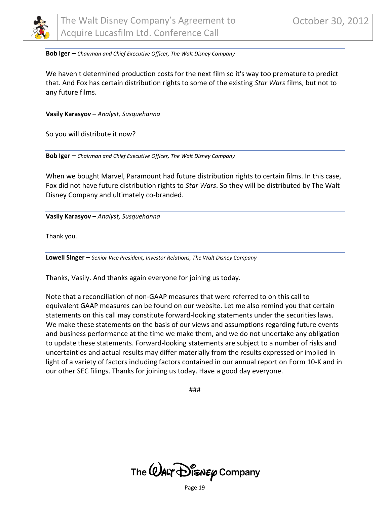

**Bob Iger –** *Chairman and Chief Executive Officer, The Walt Disney Company*

We haven't determined production costs for the next film so it's way too premature to predict that. And Fox has certain distribution rights to some of the existing *Star Wars* films, but not to any future films.

**Vasily Karasyov –** *Analyst, Susquehanna*

So you will distribute it now?

**Bob Iger –** *Chairman and Chief Executive Officer, The Walt Disney Company*

When we bought Marvel, Paramount had future distribution rights to certain films. In this case, Fox did not have future distribution rights to *Star Wars*. So they will be distributed by The Walt Disney Company and ultimately co-branded.

**Vasily Karasyov –** *Analyst, Susquehanna*

Thank you.

**Lowell Singer –** *Senior Vice President, Investor Relations, The Walt Disney Company*

Thanks, Vasily. And thanks again everyone for joining us today.

Note that a reconciliation of non-GAAP measures that were referred to on this call to equivalent GAAP measures can be found on our website. Let me also remind you that certain statements on this call may constitute forward-looking statements under the securities laws. We make these statements on the basis of our views and assumptions regarding future events and business performance at the time we make them, and we do not undertake any obligation to update these statements. Forward-looking statements are subject to a number of risks and uncertainties and actual results may differ materially from the results expressed or implied in light of a variety of factors including factors contained in our annual report on Form 10-K and in our other SEC filings. Thanks for joining us today. Have a good day everyone.

###



Page 19